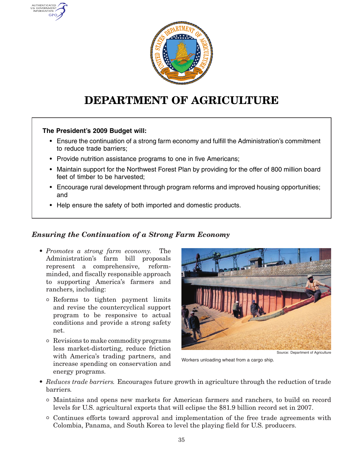

# **DEPARTMENT OF AGRICULTURE**

#### **The President's 2009 Budget will:**

**AUTHENTIC** U.S. GOVERNMENT GPO

- Ensure the continuation of <sup>a</sup> strong farm economy and fulfill the Administration's commitment to reduce trade barriers;
- Provide nutrition assistance programs to one in five Americans;
- Maintain support for the Northwest Forest Plan by providing for the offer of 800 million board feet of timber to be harvested;
- Encourage rural development through program reforms and improved housing opportunities; and
- Help ensure the safety of both imported and domestic products.

# *Ensuring the Continuation of <sup>a</sup> Strong Farm Economy*

- *Promotes <sup>a</sup> strong farm economy.* The Administration's farm bill proposals represent <sup>a</sup> comprehensive, reformminded, and fiscally responsible approach to supporting America's farmers and ranchers, including:
	- ° Reforms to tighten payment limits and revise the countercyclical support program to be responsive to actual conditions and provide <sup>a</sup> strong safety net.
	- ° Revisions to make commodity programs less market-distorting, reduce friction with America's trading partners, and increase spending on conservation and energy programs.



Workers unloading wheat from <sup>a</sup> cargo ship.

- *Reduces trade barriers.* Encourages future growth in agriculture through the reduction of trade barriers*.*
	- ° Maintains and opens new markets for American farmers and ranchers, to build on record levels for U.S. agricultural exports that will eclipse the \$81.9 billion record set in 2007.
	- ° Continues efforts toward approval and implementation of the free trade agreements with Colombia, Panama, and South Korea to level the playing field for U.S. producers.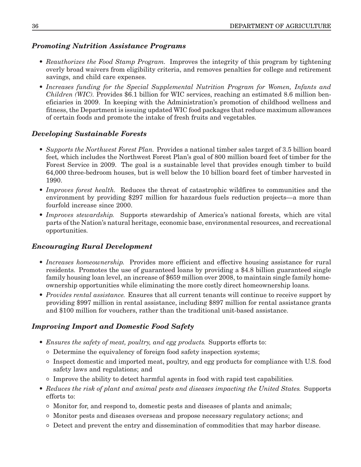# *Promoting Nutrition Assistance Programs*

- *Reauthorizes the Food Stamp Program.* Improves the integrity of this program by tightening overly broad waivers from eligibility criteria, and removes penalties for college and retirement savings, and child care expenses.
- *Increases funding for the Special Supplemental Nutrition Program for Women, Infants and Children (WIC).* Provides \$6.1 billion for WIC services, reaching an estimated 8.6 million beneficiaries in 2009. In keeping with the Administration's promotion of childhood wellness and fitness, the Department is issuing updated WIC food packages that reduce maximum allowances of certain foods and promote the intake of fresh fruits and vegetables.

# *Developing Sustainable Forests*

- *Supports the Northwest Forest Plan.* Provides <sup>a</sup> national timber sales target of 3.5 billion board feet*,* which includes the Northwest Forest Plan's goal of 800 million board feet of timber for the Forest Service in 2009. The goal is <sup>a</sup> sustainable level that provides enough timber to build 64,000 three-bedroom houses, but is well below the 10 billion board feet of timber harvested in 1990.
- *Improves forest health.* Reduces the threat of catastrophic wildfires to communities and the environment by providing \$297 million for hazardous fuels reduction projects—a more than fourfold increase since 2000.
- *Improves stewardship.* Supports stewardship of America's national forests, which are vital parts of the Nation's natural heritage, economic base, environmental resources, and recreational opportunities.

## *Encouraging Rural Development*

- *Increases homeownership.* Provides more efficient and effective housing assistance for rural residents. Promotes the use of guaranteed loans by providing <sup>a</sup> \$4.8 billion guaranteed single family housing loan level, an increase of \$659 million over 2008, to maintain single family homeownership opportunities while eliminating the more costly direct homeownership loans.
- *Provides rental assistance.* Ensures that all current tenants will continue to receive support by providing \$997 million in rental assistance, including \$897 million for rental assistance grants and \$100 million for vouchers, rather than the traditional unit-based assistance.

## *Improving Import and Domestic Food Safety*

- *Ensures the safety of meat, poultry, and egg products.* Supports efforts to:
	- ° Determine the equivalency of foreign food safety inspection systems;
	- ° Inspect domestic and imported meat, poultry, and egg products for compliance with U.S. food safety laws and regulations; and
	- ° Improve the ability to detect harmful agents in food with rapid test capabilities.
- *Reduces the risk of plant and animal pests and diseases impacting the United States.* Supports efforts to:
	- ° Monitor for, and respond to, domestic pests and diseases of plants and animals;
	- ° Monitor pests and diseases overseas and propose necessary regulatory actions; and
	- ° Detect and prevent the entry and dissemination of commodities that may harbor disease.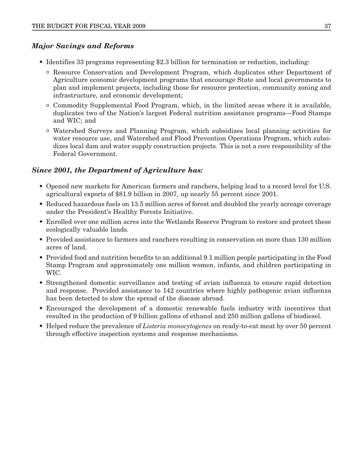#### *Major Savings and Reforms*

- Identifies 33 programs representing \$2.3 billion for termination or reduction, including:
	- ° Resource Conservation and Development Program, which duplicates other Department of Agriculture economic development programs that encourage State and local governments to plan and implement projects, including those for resource protection, community zoning and infrastructure, and economic development;
	- ° Commodity Supplemental Food Program, which, in the limited areas where it is available, duplicates two of the Nation's largest Federal nutrition assistance programs—Food Stamps and WIC; and
	- ° Watershed Surveys and Planning Program, which subsidizes local planning activities for water resource use, and Watershed and Flood Prevention Operations Program, which subsidizes local dam and water supply construction projects. This is not <sup>a</sup> core responsibility of the Federal Government.

#### *Since 2001, the Department of Agriculture has:*

- Opened new markets for American farmers and ranchers, helping lead to <sup>a</sup> record level for U.S. agricultural exports of \$81.9 billion in 2007, up nearly 55 percent since 2001.
- Reduced hazardous fuels on 13.5 million acres of forest and doubled the yearly acreage coverage under the President's Healthy Forests Initiative.
- Enrolled over one million acres into the Wetlands Reserve Program to restore and protect these ecologically valuable lands.
- Provided assistance to farmers and ranchers resulting in conservation on more than 130 million acres of land.
- Provided food and nutrition benefits to an additional 9.1 million people participating in the Food Stamp Program and approximately one million women, infants, and children participating in WIC.
- Strengthened domestic surveillance and testing of avian influenza to ensure rapid detection and response. Provided assistance to 142 countries where highly pathogenic avian influenza has been detected to slow the spread of the disease abroad.
- Encouraged the development of <sup>a</sup> domestic renewable fuels industry with incentives that resulted in the production of 9 billion gallons of ethanol and 250 million gallons of biodiesel.
- Helped reduce the prevalence of *Listeria monocytogenes* on ready-to-eat meat by over 50 percent through effective inspection systems and response mechanisms*.*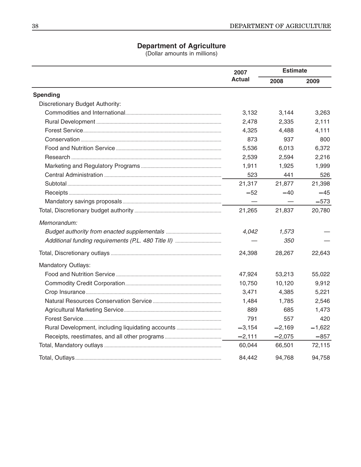#### **Department of Agriculture**

(Dollar amounts in millions)

|                                 | 2007<br><b>Actual</b> | <b>Estimate</b> |          |
|---------------------------------|-----------------------|-----------------|----------|
|                                 |                       | 2008            | 2009     |
| <b>Spending</b>                 |                       |                 |          |
| Discretionary Budget Authority: |                       |                 |          |
|                                 | 3,132                 | 3,144           | 3,263    |
|                                 | 2,478                 | 2,335           | 2,111    |
|                                 | 4,325                 | 4,488           | 4,111    |
|                                 | 873                   | 937             | 800      |
|                                 | 5,536                 | 6,013           | 6,372    |
|                                 | 2,539                 | 2,594           | 2,216    |
|                                 | 1,911                 | 1,925           | 1,999    |
|                                 | 523                   | 441             | 526      |
|                                 | 21,317                | 21,877          | 21,398   |
|                                 | $-52$                 | $-40$           | $-45$    |
|                                 |                       |                 | $-573$   |
|                                 | 21,265                | 21,837          | 20,780   |
| Memorandum:                     |                       |                 |          |
|                                 | 4,042                 | 1,573           |          |
|                                 |                       | <i>350</i>      |          |
|                                 | 24,398                | 28,267          | 22,643   |
| Mandatory Outlays:              |                       |                 |          |
|                                 | 47,924                | 53,213          | 55,022   |
|                                 | 10,750                | 10,120          | 9,912    |
|                                 | 3,471                 | 4,385           | 5,221    |
|                                 | 1,484                 | 1,785           | 2,546    |
|                                 | 889                   | 685             | 1,473    |
|                                 | 791                   | 557             | 420      |
|                                 | $-3,154$              | $-2,169$        | $-1,622$ |
|                                 | $-2,111$              | $-2,075$        | $-857$   |
|                                 | 60,044                | 66,501          | 72,115   |
|                                 | 84,442                | 94.768          | 94,758   |